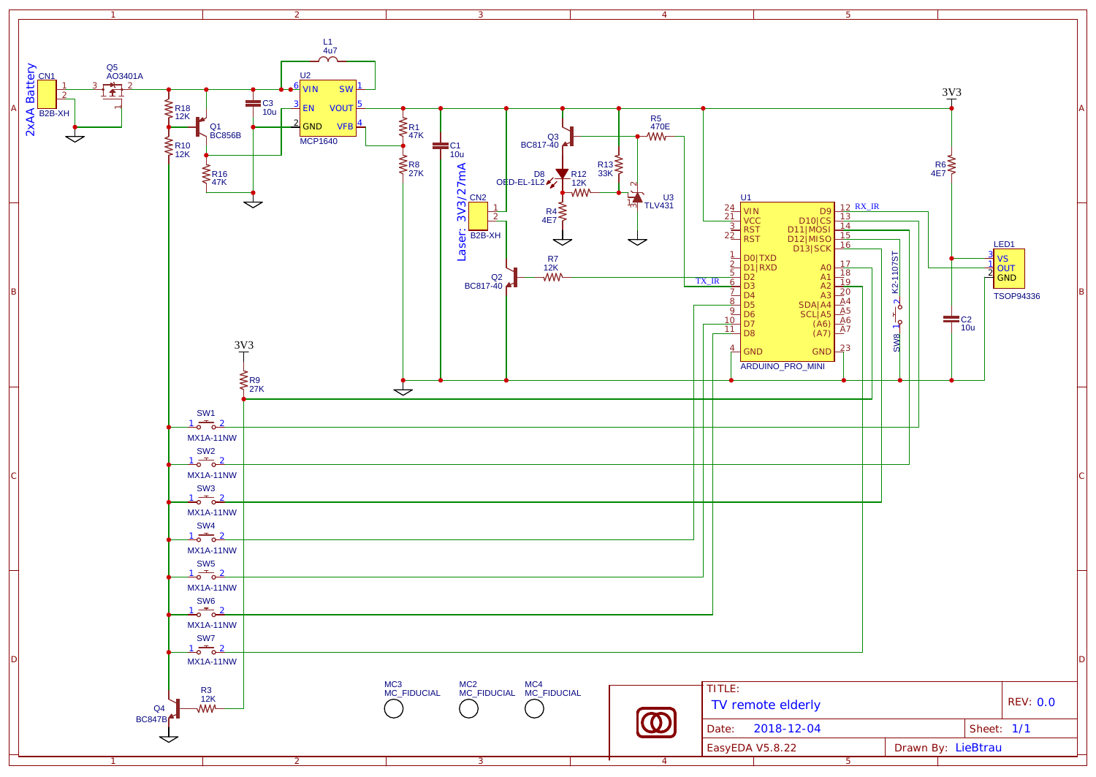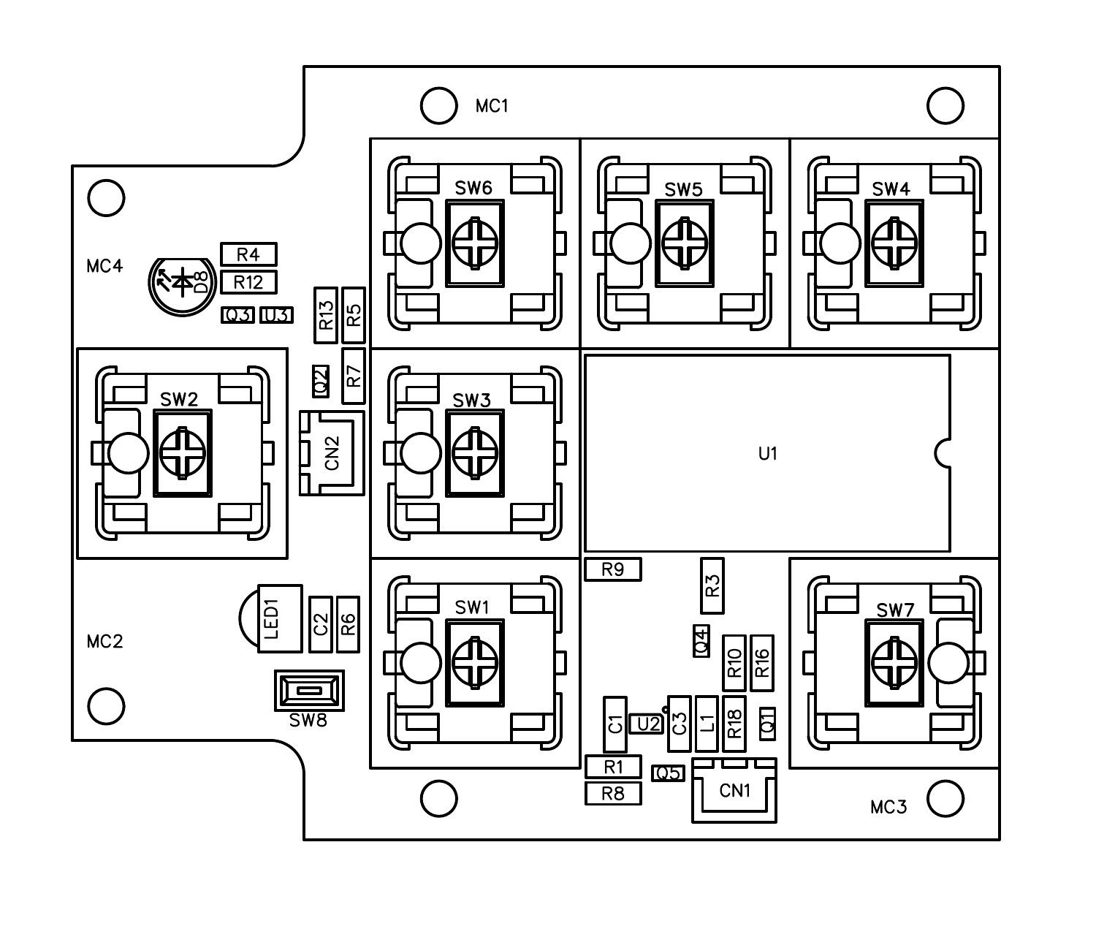